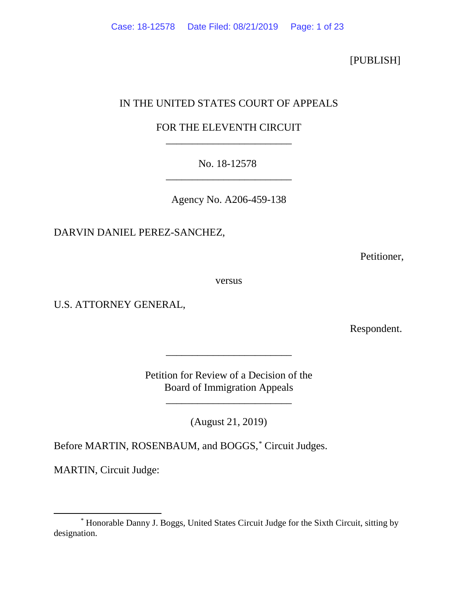## [PUBLISH]

# IN THE UNITED STATES COURT OF APPEALS

# FOR THE ELEVENTH CIRCUIT \_\_\_\_\_\_\_\_\_\_\_\_\_\_\_\_\_\_\_\_\_\_\_\_

# No. 18-12578 \_\_\_\_\_\_\_\_\_\_\_\_\_\_\_\_\_\_\_\_\_\_\_\_

Agency No. A206-459-138

DARVIN DANIEL PEREZ-SANCHEZ,

Petitioner,

versus

U.S. ATTORNEY GENERAL,

Respondent.

Petition for Review of a Decision of the Board of Immigration Appeals

\_\_\_\_\_\_\_\_\_\_\_\_\_\_\_\_\_\_\_\_\_\_\_\_

\_\_\_\_\_\_\_\_\_\_\_\_\_\_\_\_\_\_\_\_\_\_\_\_

(August 21, 2019)

Before MARTIN, ROSENBAUM, and BOGGS, [\\*](#page-0-0) Circuit Judges.

MARTIN, Circuit Judge:

<span id="page-0-0"></span><sup>\*</sup> Honorable Danny J. Boggs, United States Circuit Judge for the Sixth Circuit, sitting by designation.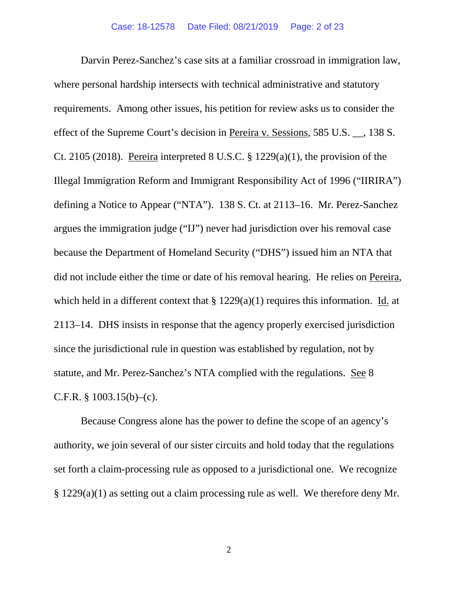Darvin Perez-Sanchez's case sits at a familiar crossroad in immigration law, where personal hardship intersects with technical administrative and statutory requirements. Among other issues, his petition for review asks us to consider the effect of the Supreme Court's decision in Pereira v. Sessions, 585 U.S. \_\_, 138 S. Ct. 2105 (2018). Pereira interpreted 8 U.S.C.  $\S$  1229(a)(1), the provision of the Illegal Immigration Reform and Immigrant Responsibility Act of 1996 ("IIRIRA") defining a Notice to Appear ("NTA"). 138 S. Ct. at 2113–16. Mr. Perez-Sanchez argues the immigration judge ("IJ") never had jurisdiction over his removal case because the Department of Homeland Security ("DHS") issued him an NTA that did not include either the time or date of his removal hearing. He relies on Pereira, which held in a different context that § 1229(a)(1) requires this information. Id. at 2113–14. DHS insists in response that the agency properly exercised jurisdiction since the jurisdictional rule in question was established by regulation, not by statute, and Mr. Perez-Sanchez's NTA complied with the regulations. See 8 C.F.R.  $\S$  1003.15(b)–(c).

Because Congress alone has the power to define the scope of an agency's authority, we join several of our sister circuits and hold today that the regulations set forth a claim-processing rule as opposed to a jurisdictional one. We recognize § 1229(a)(1) as setting out a claim processing rule as well. We therefore deny Mr.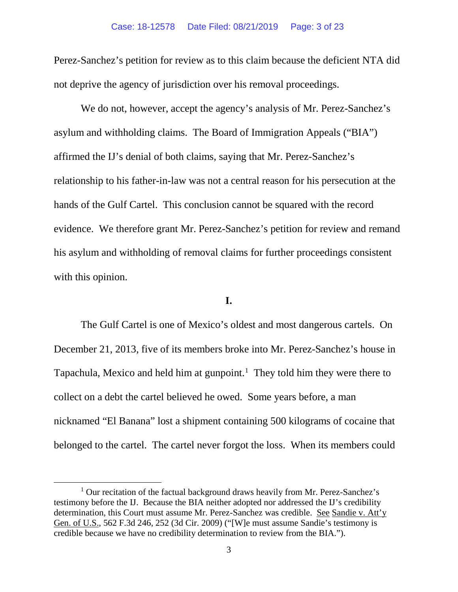Perez-Sanchez's petition for review as to this claim because the deficient NTA did not deprive the agency of jurisdiction over his removal proceedings.

We do not, however, accept the agency's analysis of Mr. Perez-Sanchez's asylum and withholding claims. The Board of Immigration Appeals ("BIA") affirmed the IJ's denial of both claims, saying that Mr. Perez-Sanchez's relationship to his father-in-law was not a central reason for his persecution at the hands of the Gulf Cartel. This conclusion cannot be squared with the record evidence. We therefore grant Mr. Perez-Sanchez's petition for review and remand his asylum and withholding of removal claims for further proceedings consistent with this opinion.

## **I.**

The Gulf Cartel is one of Mexico's oldest and most dangerous cartels. On December 21, 2013, five of its members broke into Mr. Perez-Sanchez's house in Tapachula, Mexico and held him at gunpoint.<sup>[1](#page-2-0)</sup> They told him they were there to collect on a debt the cartel believed he owed. Some years before, a man nicknamed "El Banana" lost a shipment containing 500 kilograms of cocaine that belonged to the cartel. The cartel never forgot the loss. When its members could

<span id="page-2-0"></span> $1$  Our recitation of the factual background draws heavily from Mr. Perez-Sanchez's testimony before the IJ. Because the BIA neither adopted nor addressed the IJ's credibility determination, this Court must assume Mr. Perez-Sanchez was credible. See Sandie v. Att'y Gen. of U.S., 562 F.3d 246, 252 (3d Cir. 2009) ("[W]e must assume Sandie's testimony is credible because we have no credibility determination to review from the BIA.").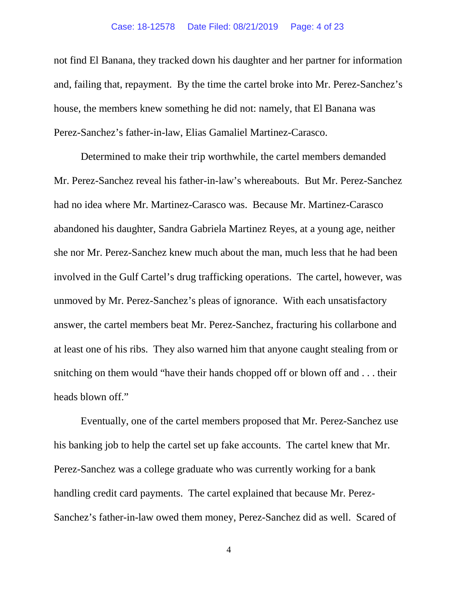#### Case: 18-12578 Date Filed: 08/21/2019 Page: 4 of 23

not find El Banana, they tracked down his daughter and her partner for information and, failing that, repayment. By the time the cartel broke into Mr. Perez-Sanchez's house, the members knew something he did not: namely, that El Banana was Perez-Sanchez's father-in-law, Elias Gamaliel Martinez-Carasco.

Determined to make their trip worthwhile, the cartel members demanded Mr. Perez-Sanchez reveal his father-in-law's whereabouts. But Mr. Perez-Sanchez had no idea where Mr. Martinez-Carasco was. Because Mr. Martinez-Carasco abandoned his daughter, Sandra Gabriela Martinez Reyes, at a young age, neither she nor Mr. Perez-Sanchez knew much about the man, much less that he had been involved in the Gulf Cartel's drug trafficking operations. The cartel, however, was unmoved by Mr. Perez-Sanchez's pleas of ignorance. With each unsatisfactory answer, the cartel members beat Mr. Perez-Sanchez, fracturing his collarbone and at least one of his ribs. They also warned him that anyone caught stealing from or snitching on them would "have their hands chopped off or blown off and . . . their heads blown off."

Eventually, one of the cartel members proposed that Mr. Perez-Sanchez use his banking job to help the cartel set up fake accounts. The cartel knew that Mr. Perez-Sanchez was a college graduate who was currently working for a bank handling credit card payments. The cartel explained that because Mr. Perez-Sanchez's father-in-law owed them money, Perez-Sanchez did as well. Scared of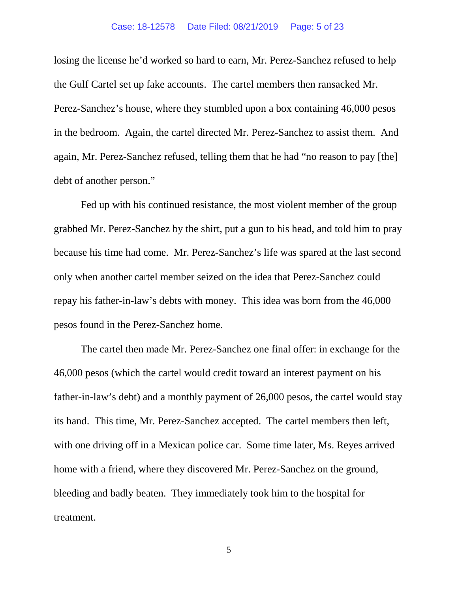#### Case: 18-12578 Date Filed: 08/21/2019 Page: 5 of 23

losing the license he'd worked so hard to earn, Mr. Perez-Sanchez refused to help the Gulf Cartel set up fake accounts. The cartel members then ransacked Mr. Perez-Sanchez's house, where they stumbled upon a box containing 46,000 pesos in the bedroom. Again, the cartel directed Mr. Perez-Sanchez to assist them. And again, Mr. Perez-Sanchez refused, telling them that he had "no reason to pay [the] debt of another person."

Fed up with his continued resistance, the most violent member of the group grabbed Mr. Perez-Sanchez by the shirt, put a gun to his head, and told him to pray because his time had come. Mr. Perez-Sanchez's life was spared at the last second only when another cartel member seized on the idea that Perez-Sanchez could repay his father-in-law's debts with money. This idea was born from the 46,000 pesos found in the Perez-Sanchez home.

The cartel then made Mr. Perez-Sanchez one final offer: in exchange for the 46,000 pesos (which the cartel would credit toward an interest payment on his father-in-law's debt) and a monthly payment of 26,000 pesos, the cartel would stay its hand. This time, Mr. Perez-Sanchez accepted. The cartel members then left, with one driving off in a Mexican police car. Some time later, Ms. Reyes arrived home with a friend, where they discovered Mr. Perez-Sanchez on the ground, bleeding and badly beaten. They immediately took him to the hospital for treatment.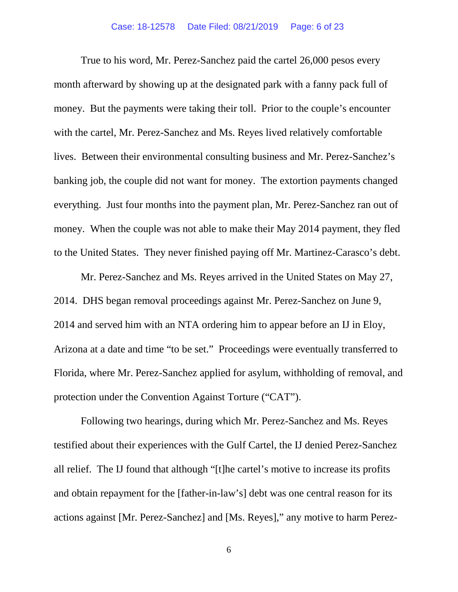True to his word, Mr. Perez-Sanchez paid the cartel 26,000 pesos every month afterward by showing up at the designated park with a fanny pack full of money. But the payments were taking their toll. Prior to the couple's encounter with the cartel, Mr. Perez-Sanchez and Ms. Reyes lived relatively comfortable lives. Between their environmental consulting business and Mr. Perez-Sanchez's banking job, the couple did not want for money. The extortion payments changed everything. Just four months into the payment plan, Mr. Perez-Sanchez ran out of money. When the couple was not able to make their May 2014 payment, they fled to the United States. They never finished paying off Mr. Martinez-Carasco's debt.

Mr. Perez-Sanchez and Ms. Reyes arrived in the United States on May 27, 2014. DHS began removal proceedings against Mr. Perez-Sanchez on June 9, 2014 and served him with an NTA ordering him to appear before an IJ in Eloy, Arizona at a date and time "to be set." Proceedings were eventually transferred to Florida, where Mr. Perez-Sanchez applied for asylum, withholding of removal, and protection under the Convention Against Torture ("CAT").

Following two hearings, during which Mr. Perez-Sanchez and Ms. Reyes testified about their experiences with the Gulf Cartel, the IJ denied Perez-Sanchez all relief. The IJ found that although "[t]he cartel's motive to increase its profits and obtain repayment for the [father-in-law's] debt was one central reason for its actions against [Mr. Perez-Sanchez] and [Ms. Reyes]," any motive to harm Perez-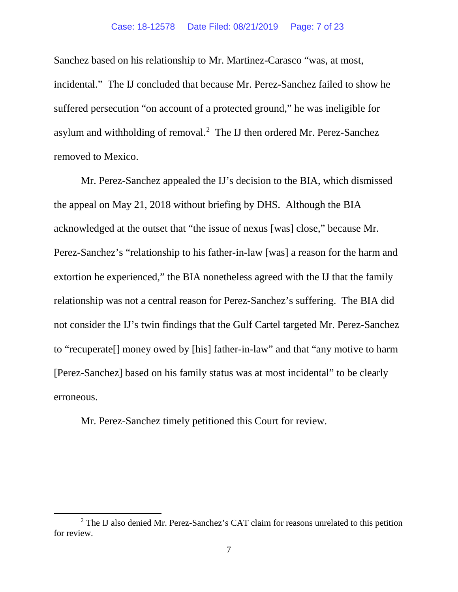Sanchez based on his relationship to Mr. Martinez-Carasco "was, at most, incidental." The IJ concluded that because Mr. Perez-Sanchez failed to show he suffered persecution "on account of a protected ground," he was ineligible for asylum and withholding of removal.<sup>[2](#page-6-0)</sup> The IJ then ordered Mr. Perez-Sanchez removed to Mexico.

Mr. Perez-Sanchez appealed the IJ's decision to the BIA, which dismissed the appeal on May 21, 2018 without briefing by DHS. Although the BIA acknowledged at the outset that "the issue of nexus [was] close," because Mr. Perez-Sanchez's "relationship to his father-in-law [was] a reason for the harm and extortion he experienced," the BIA nonetheless agreed with the IJ that the family relationship was not a central reason for Perez-Sanchez's suffering. The BIA did not consider the IJ's twin findings that the Gulf Cartel targeted Mr. Perez-Sanchez to "recuperate[] money owed by [his] father-in-law" and that "any motive to harm [Perez-Sanchez] based on his family status was at most incidental" to be clearly erroneous.

Mr. Perez-Sanchez timely petitioned this Court for review.

<span id="page-6-0"></span><sup>2</sup> The IJ also denied Mr. Perez-Sanchez's CAT claim for reasons unrelated to this petition for review.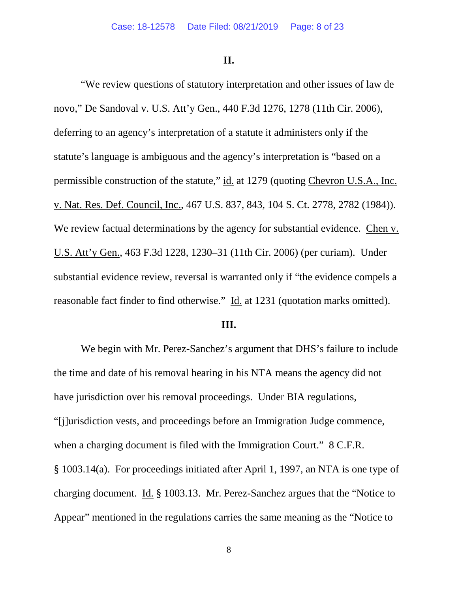**II.**

"We review questions of statutory interpretation and other issues of law de novo," De Sandoval v. U.S. Att'y Gen., 440 F.3d 1276, 1278 (11th Cir. 2006), deferring to an agency's interpretation of a statute it administers only if the statute's language is ambiguous and the agency's interpretation is "based on a permissible construction of the statute," id. at 1279 (quoting Chevron U.S.A., Inc. v. Nat. Res. Def. Council, Inc., 467 U.S. 837, 843, 104 S. Ct. 2778, 2782 (1984)). We review factual determinations by the agency for substantial evidence. Chen v. U.S. Att'y Gen., 463 F.3d 1228, 1230–31 (11th Cir. 2006) (per curiam). Under substantial evidence review, reversal is warranted only if "the evidence compels a reasonable fact finder to find otherwise." Id. at 1231 (quotation marks omitted).

#### **III.**

We begin with Mr. Perez-Sanchez's argument that DHS's failure to include the time and date of his removal hearing in his NTA means the agency did not have jurisdiction over his removal proceedings. Under BIA regulations, "[j]urisdiction vests, and proceedings before an Immigration Judge commence, when a charging document is filed with the Immigration Court." 8 C.F.R. § 1003.14(a). For proceedings initiated after April 1, 1997, an NTA is one type of charging document. Id. § 1003.13. Mr. Perez-Sanchez argues that the "Notice to Appear" mentioned in the regulations carries the same meaning as the "Notice to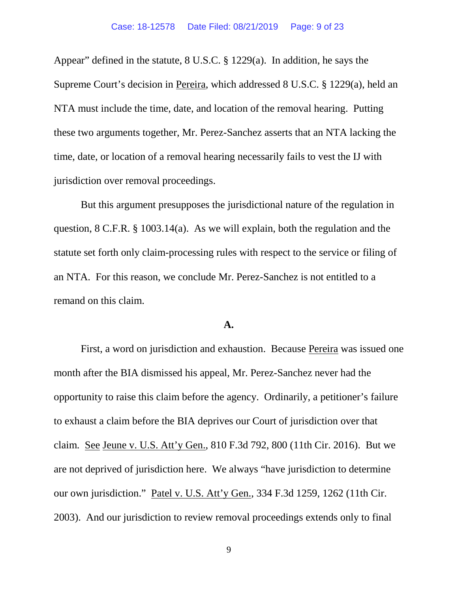Appear" defined in the statute, 8 U.S.C. § 1229(a). In addition, he says the Supreme Court's decision in Pereira, which addressed 8 U.S.C. § 1229(a), held an NTA must include the time, date, and location of the removal hearing. Putting these two arguments together, Mr. Perez-Sanchez asserts that an NTA lacking the time, date, or location of a removal hearing necessarily fails to vest the IJ with jurisdiction over removal proceedings.

But this argument presupposes the jurisdictional nature of the regulation in question, 8 C.F.R. § 1003.14(a). As we will explain, both the regulation and the statute set forth only claim-processing rules with respect to the service or filing of an NTA. For this reason, we conclude Mr. Perez-Sanchez is not entitled to a remand on this claim.

#### **A.**

First, a word on jurisdiction and exhaustion. Because Pereira was issued one month after the BIA dismissed his appeal, Mr. Perez-Sanchez never had the opportunity to raise this claim before the agency. Ordinarily, a petitioner's failure to exhaust a claim before the BIA deprives our Court of jurisdiction over that claim. See Jeune v. U.S. Att'y Gen., 810 F.3d 792, 800 (11th Cir. 2016). But we are not deprived of jurisdiction here. We always "have jurisdiction to determine our own jurisdiction." Patel v. U.S. Att'y Gen., 334 F.3d 1259, 1262 (11th Cir. 2003). And our jurisdiction to review removal proceedings extends only to final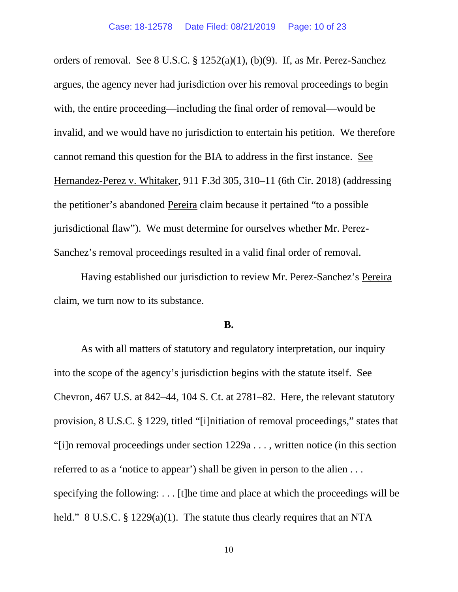orders of removal. See 8 U.S.C. § 1252(a)(1), (b)(9). If, as Mr. Perez-Sanchez argues, the agency never had jurisdiction over his removal proceedings to begin with, the entire proceeding—including the final order of removal—would be invalid, and we would have no jurisdiction to entertain his petition. We therefore cannot remand this question for the BIA to address in the first instance. See Hernandez-Perez v. Whitaker, 911 F.3d 305, 310–11 (6th Cir. 2018) (addressing the petitioner's abandoned Pereira claim because it pertained "to a possible jurisdictional flaw"). We must determine for ourselves whether Mr. Perez-Sanchez's removal proceedings resulted in a valid final order of removal.

Having established our jurisdiction to review Mr. Perez-Sanchez's Pereira claim, we turn now to its substance.

#### **B.**

As with all matters of statutory and regulatory interpretation, our inquiry into the scope of the agency's jurisdiction begins with the statute itself. See Chevron, 467 U.S. at 842–44, 104 S. Ct. at 2781–82. Here, the relevant statutory provision, 8 U.S.C. § 1229, titled "[i]nitiation of removal proceedings," states that "[i]n removal proceedings under section 1229a . . . , written notice (in this section referred to as a 'notice to appear') shall be given in person to the alien . . . specifying the following: . . . [t]he time and place at which the proceedings will be held." 8 U.S.C. § 1229(a)(1). The statute thus clearly requires that an NTA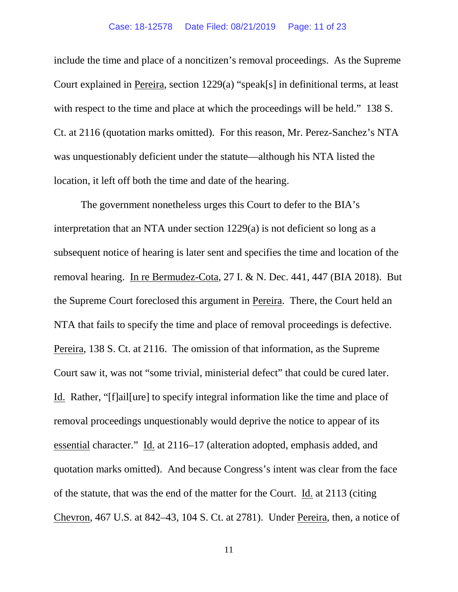include the time and place of a noncitizen's removal proceedings. As the Supreme Court explained in Pereira, section 1229(a) "speak[s] in definitional terms, at least with respect to the time and place at which the proceedings will be held." 138 S. Ct. at 2116 (quotation marks omitted). For this reason, Mr. Perez-Sanchez's NTA was unquestionably deficient under the statute—although his NTA listed the location, it left off both the time and date of the hearing.

The government nonetheless urges this Court to defer to the BIA's interpretation that an NTA under section 1229(a) is not deficient so long as a subsequent notice of hearing is later sent and specifies the time and location of the removal hearing. In re Bermudez-Cota, 27 I. & N. Dec. 441, 447 (BIA 2018). But the Supreme Court foreclosed this argument in Pereira. There, the Court held an NTA that fails to specify the time and place of removal proceedings is defective. Pereira, 138 S. Ct. at 2116. The omission of that information, as the Supreme Court saw it, was not "some trivial, ministerial defect" that could be cured later. Id. Rather, "[f]ail[ure] to specify integral information like the time and place of removal proceedings unquestionably would deprive the notice to appear of its essential character." Id. at 2116–17 (alteration adopted, emphasis added, and quotation marks omitted). And because Congress's intent was clear from the face of the statute, that was the end of the matter for the Court. Id. at 2113 (citing Chevron, 467 U.S. at 842–43, 104 S. Ct. at 2781). Under Pereira, then, a notice of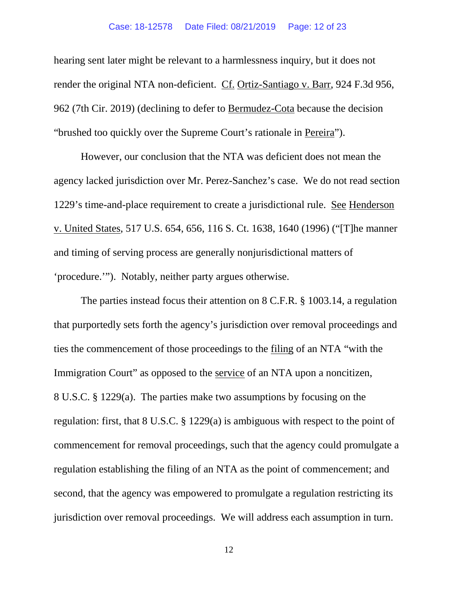#### Case: 18-12578 Date Filed: 08/21/2019 Page: 12 of 23

hearing sent later might be relevant to a harmlessness inquiry, but it does not render the original NTA non-deficient. Cf. Ortiz-Santiago v. Barr, 924 F.3d 956, 962 (7th Cir. 2019) (declining to defer to Bermudez-Cota because the decision "brushed too quickly over the Supreme Court's rationale in Pereira").

However, our conclusion that the NTA was deficient does not mean the agency lacked jurisdiction over Mr. Perez-Sanchez's case. We do not read section 1229's time-and-place requirement to create a jurisdictional rule. See Henderson v. United States, 517 U.S. 654, 656, 116 S. Ct. 1638, 1640 (1996) ("[T]he manner and timing of serving process are generally nonjurisdictional matters of 'procedure.'"). Notably, neither party argues otherwise.

The parties instead focus their attention on 8 C.F.R. § 1003.14, a regulation that purportedly sets forth the agency's jurisdiction over removal proceedings and ties the commencement of those proceedings to the filing of an NTA "with the Immigration Court" as opposed to the service of an NTA upon a noncitizen, 8 U.S.C. § 1229(a). The parties make two assumptions by focusing on the regulation: first, that 8 U.S.C. § 1229(a) is ambiguous with respect to the point of commencement for removal proceedings, such that the agency could promulgate a regulation establishing the filing of an NTA as the point of commencement; and second, that the agency was empowered to promulgate a regulation restricting its jurisdiction over removal proceedings. We will address each assumption in turn.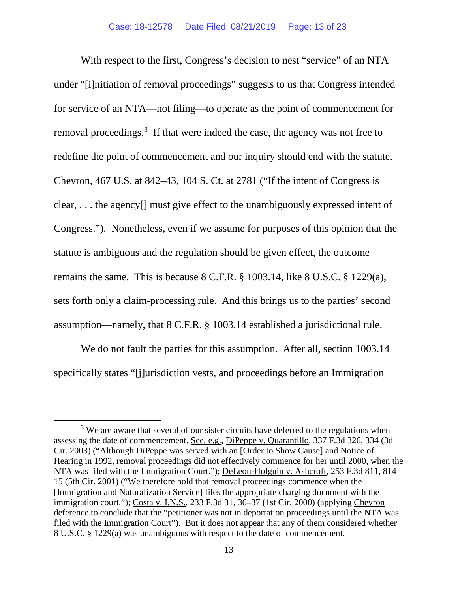With respect to the first, Congress's decision to nest "service" of an NTA under "[i]nitiation of removal proceedings" suggests to us that Congress intended for service of an NTA—not filing—to operate as the point of commencement for removal proceedings.<sup>[3](#page-12-0)</sup> If that were indeed the case, the agency was not free to redefine the point of commencement and our inquiry should end with the statute. Chevron, 467 U.S. at 842–43, 104 S. Ct. at 2781 ("If the intent of Congress is clear, . . . the agency[] must give effect to the unambiguously expressed intent of Congress."). Nonetheless, even if we assume for purposes of this opinion that the statute is ambiguous and the regulation should be given effect, the outcome remains the same. This is because 8 C.F.R. § 1003.14, like 8 U.S.C. § 1229(a), sets forth only a claim-processing rule. And this brings us to the parties' second assumption—namely, that 8 C.F.R. § 1003.14 established a jurisdictional rule.

We do not fault the parties for this assumption. After all, section 1003.14 specifically states "[j]urisdiction vests, and proceedings before an Immigration

<span id="page-12-0"></span><sup>&</sup>lt;sup>3</sup> We are aware that several of our sister circuits have deferred to the regulations when assessing the date of commencement. See, e.g., DiPeppe v. Quarantillo, 337 F.3d 326, 334 (3d Cir. 2003) ("Although DiPeppe was served with an [Order to Show Cause] and Notice of Hearing in 1992, removal proceedings did not effectively commence for her until 2000, when the NTA was filed with the Immigration Court."); DeLeon-Holguin v. Ashcroft, 253 F.3d 811, 814– 15 (5th Cir. 2001) ("We therefore hold that removal proceedings commence when the [Immigration and Naturalization Service] files the appropriate charging document with the immigration court."); Costa v. I.N.S., 233 F.3d 31, 36–37 (1st Cir. 2000) (applying Chevron deference to conclude that the "petitioner was not in deportation proceedings until the NTA was filed with the Immigration Court"). But it does not appear that any of them considered whether 8 U.S.C. § 1229(a) was unambiguous with respect to the date of commencement.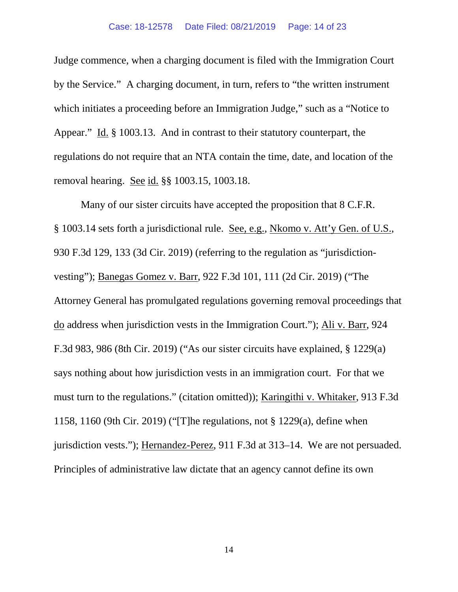Judge commence, when a charging document is filed with the Immigration Court by the Service." A charging document, in turn, refers to "the written instrument which initiates a proceeding before an Immigration Judge," such as a "Notice to Appear." Id. § 1003.13. And in contrast to their statutory counterpart, the regulations do not require that an NTA contain the time, date, and location of the removal hearing. See id. §§ 1003.15, 1003.18.

Many of our sister circuits have accepted the proposition that 8 C.F.R. § 1003.14 sets forth a jurisdictional rule. See, e.g., Nkomo v. Att'y Gen. of U.S., 930 F.3d 129, 133 (3d Cir. 2019) (referring to the regulation as "jurisdictionvesting"); Banegas Gomez v. Barr, 922 F.3d 101, 111 (2d Cir. 2019) ("The Attorney General has promulgated regulations governing removal proceedings that do address when jurisdiction vests in the Immigration Court."); Ali v. Barr, 924 F.3d 983, 986 (8th Cir. 2019) ("As our sister circuits have explained, § 1229(a) says nothing about how jurisdiction vests in an immigration court. For that we must turn to the regulations." (citation omitted)); Karingithi v. Whitaker, 913 F.3d 1158, 1160 (9th Cir. 2019) ("[T]he regulations, not § 1229(a), define when jurisdiction vests."); Hernandez-Perez, 911 F.3d at 313–14. We are not persuaded. Principles of administrative law dictate that an agency cannot define its own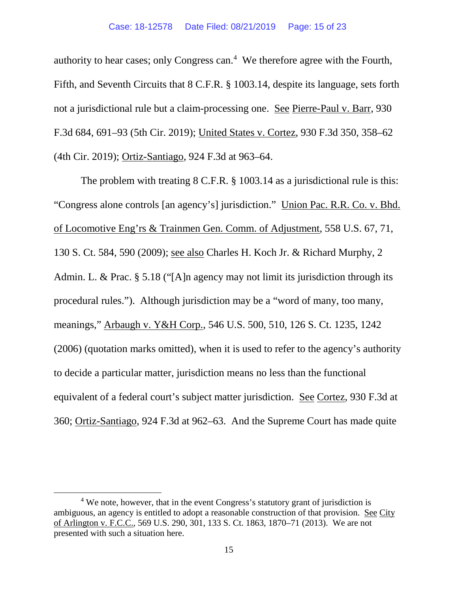authority to hear cases; only Congress can. [4](#page-14-0) We therefore agree with the Fourth, Fifth, and Seventh Circuits that 8 C.F.R. § 1003.14, despite its language, sets forth not a jurisdictional rule but a claim-processing one. See Pierre-Paul v. Barr, 930 F.3d 684, 691–93 (5th Cir. 2019); United States v. Cortez, 930 F.3d 350, 358–62 (4th Cir. 2019); Ortiz-Santiago, 924 F.3d at 963–64.

The problem with treating 8 C.F.R. § 1003.14 as a jurisdictional rule is this: "Congress alone controls [an agency's] jurisdiction." Union Pac. R.R. Co. v. Bhd. of Locomotive Eng'rs & Trainmen Gen. Comm. of Adjustment, 558 U.S. 67, 71, 130 S. Ct. 584, 590 (2009); see also Charles H. Koch Jr. & Richard Murphy, 2 Admin. L. & Prac. § 5.18 ("[A]n agency may not limit its jurisdiction through its procedural rules."). Although jurisdiction may be a "word of many, too many, meanings," Arbaugh v. Y&H Corp., 546 U.S. 500, 510, 126 S. Ct. 1235, 1242 (2006) (quotation marks omitted), when it is used to refer to the agency's authority to decide a particular matter, jurisdiction means no less than the functional equivalent of a federal court's subject matter jurisdiction. See Cortez, 930 F.3d at 360; Ortiz-Santiago, 924 F.3d at 962–63. And the Supreme Court has made quite

<span id="page-14-0"></span> $4$  We note, however, that in the event Congress's statutory grant of jurisdiction is ambiguous, an agency is entitled to adopt a reasonable construction of that provision. See City of Arlington v. F.C.C., 569 U.S. 290, 301, 133 S. Ct. 1863, 1870–71 (2013). We are not presented with such a situation here.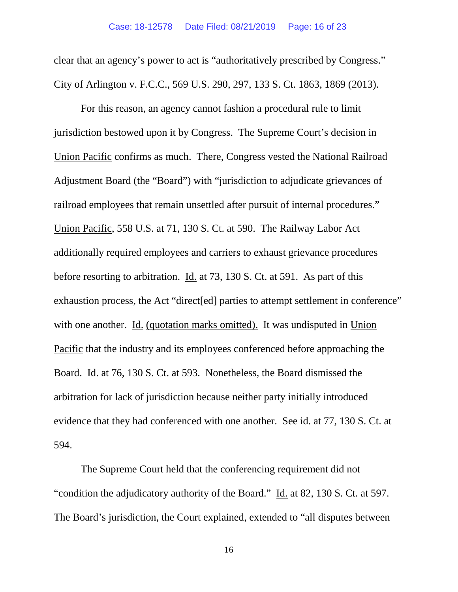clear that an agency's power to act is "authoritatively prescribed by Congress." City of Arlington v. F.C.C., 569 U.S. 290, 297, 133 S. Ct. 1863, 1869 (2013).

For this reason, an agency cannot fashion a procedural rule to limit jurisdiction bestowed upon it by Congress. The Supreme Court's decision in Union Pacific confirms as much. There, Congress vested the National Railroad Adjustment Board (the "Board") with "jurisdiction to adjudicate grievances of railroad employees that remain unsettled after pursuit of internal procedures." Union Pacific, 558 U.S. at 71, 130 S. Ct. at 590. The Railway Labor Act additionally required employees and carriers to exhaust grievance procedures before resorting to arbitration. Id. at 73, 130 S. Ct. at 591. As part of this exhaustion process, the Act "direct[ed] parties to attempt settlement in conference" with one another. Id. (quotation marks omitted). It was undisputed in Union Pacific that the industry and its employees conferenced before approaching the Board. Id. at 76, 130 S. Ct. at 593. Nonetheless, the Board dismissed the arbitration for lack of jurisdiction because neither party initially introduced evidence that they had conferenced with one another. See id. at 77, 130 S. Ct. at 594.

The Supreme Court held that the conferencing requirement did not "condition the adjudicatory authority of the Board." Id. at 82, 130 S. Ct. at 597. The Board's jurisdiction, the Court explained, extended to "all disputes between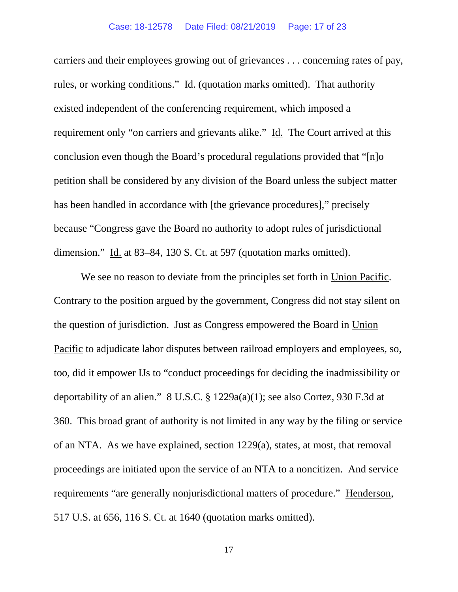carriers and their employees growing out of grievances . . . concerning rates of pay, rules, or working conditions." Id. (quotation marks omitted). That authority existed independent of the conferencing requirement, which imposed a requirement only "on carriers and grievants alike." Id. The Court arrived at this conclusion even though the Board's procedural regulations provided that "[n]o petition shall be considered by any division of the Board unless the subject matter has been handled in accordance with [the grievance procedures]," precisely because "Congress gave the Board no authority to adopt rules of jurisdictional dimension." Id. at 83–84, 130 S. Ct. at 597 (quotation marks omitted).

We see no reason to deviate from the principles set forth in Union Pacific. Contrary to the position argued by the government, Congress did not stay silent on the question of jurisdiction. Just as Congress empowered the Board in Union Pacific to adjudicate labor disputes between railroad employers and employees, so, too, did it empower IJs to "conduct proceedings for deciding the inadmissibility or deportability of an alien." 8 U.S.C. § 1229a(a)(1); see also Cortez, 930 F.3d at 360. This broad grant of authority is not limited in any way by the filing or service of an NTA. As we have explained, section 1229(a), states, at most, that removal proceedings are initiated upon the service of an NTA to a noncitizen. And service requirements "are generally nonjurisdictional matters of procedure." Henderson, 517 U.S. at 656, 116 S. Ct. at 1640 (quotation marks omitted).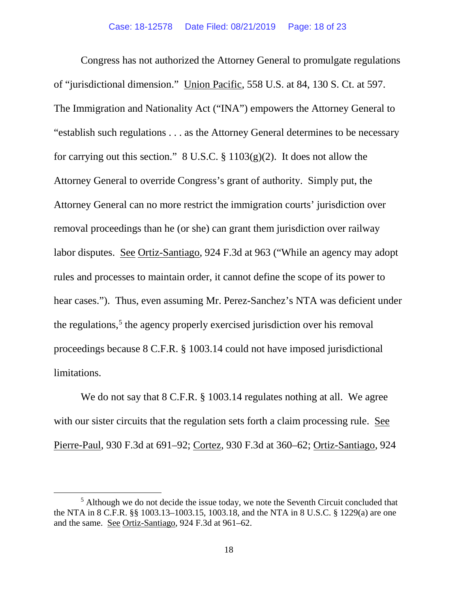Congress has not authorized the Attorney General to promulgate regulations of "jurisdictional dimension." Union Pacific, 558 U.S. at 84, 130 S. Ct. at 597. The Immigration and Nationality Act ("INA") empowers the Attorney General to "establish such regulations . . . as the Attorney General determines to be necessary for carrying out this section." 8 U.S.C. § 1103(g)(2). It does not allow the Attorney General to override Congress's grant of authority. Simply put, the Attorney General can no more restrict the immigration courts' jurisdiction over removal proceedings than he (or she) can grant them jurisdiction over railway labor disputes. See Ortiz-Santiago, 924 F.3d at 963 ("While an agency may adopt rules and processes to maintain order, it cannot define the scope of its power to hear cases."). Thus, even assuming Mr. Perez-Sanchez's NTA was deficient under the regulations,<sup>[5](#page-17-0)</sup> the agency properly exercised jurisdiction over his removal proceedings because 8 C.F.R. § 1003.14 could not have imposed jurisdictional limitations.

We do not say that 8 C.F.R. § 1003.14 regulates nothing at all. We agree with our sister circuits that the regulation sets forth a claim processing rule. See Pierre-Paul, 930 F.3d at 691–92; Cortez, 930 F.3d at 360–62; Ortiz-Santiago, 924

<span id="page-17-0"></span> $<sup>5</sup>$  Although we do not decide the issue today, we note the Seventh Circuit concluded that</sup> the NTA in 8 C.F.R. §§ 1003.13–1003.15, 1003.18, and the NTA in 8 U.S.C. § 1229(a) are one and the same. See Ortiz-Santiago, 924 F.3d at 961–62.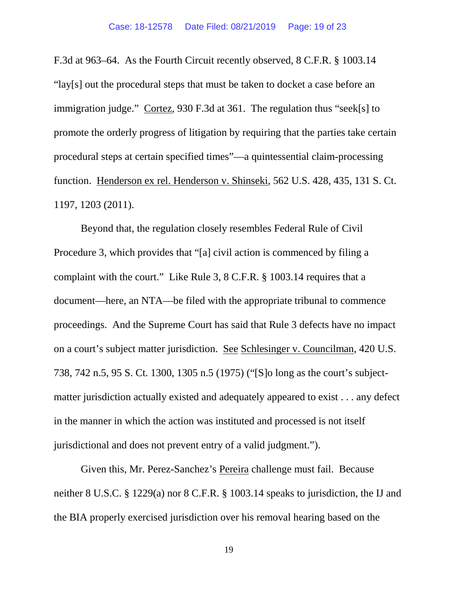F.3d at 963–64. As the Fourth Circuit recently observed, 8 C.F.R. § 1003.14 "lay[s] out the procedural steps that must be taken to docket a case before an immigration judge." Cortez, 930 F.3d at 361. The regulation thus "seek[s] to promote the orderly progress of litigation by requiring that the parties take certain procedural steps at certain specified times"—a quintessential claim-processing function. Henderson ex rel. Henderson v. Shinseki, 562 U.S. 428, 435, 131 S. Ct. 1197, 1203 (2011).

Beyond that, the regulation closely resembles Federal Rule of Civil Procedure 3, which provides that "[a] civil action is commenced by filing a complaint with the court." Like Rule 3, 8 C.F.R. § 1003.14 requires that a document—here, an NTA—be filed with the appropriate tribunal to commence proceedings. And the Supreme Court has said that Rule 3 defects have no impact on a court's subject matter jurisdiction. See Schlesinger v. Councilman, 420 U.S. 738, 742 n.5, 95 S. Ct. 1300, 1305 n.5 (1975) ("[S]o long as the court's subjectmatter jurisdiction actually existed and adequately appeared to exist . . . any defect in the manner in which the action was instituted and processed is not itself jurisdictional and does not prevent entry of a valid judgment.").

Given this, Mr. Perez-Sanchez's Pereira challenge must fail. Because neither 8 U.S.C. § 1229(a) nor 8 C.F.R. § 1003.14 speaks to jurisdiction, the IJ and the BIA properly exercised jurisdiction over his removal hearing based on the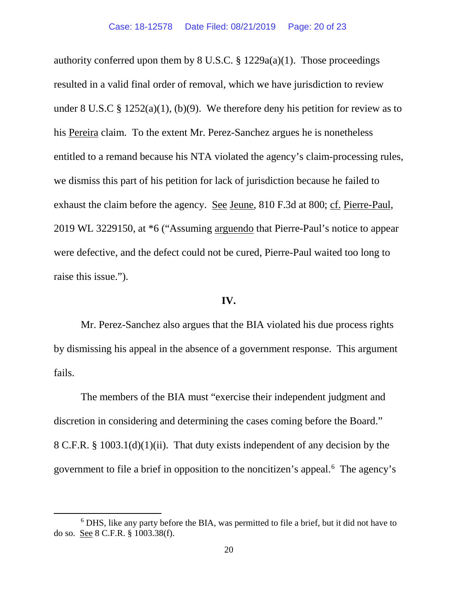authority conferred upon them by  $8 \text{ U.S.C.}$   $\frac{8}{3}$  1229a(a)(1). Those proceedings resulted in a valid final order of removal, which we have jurisdiction to review under 8 U.S.C  $\S$  1252(a)(1), (b)(9). We therefore deny his petition for review as to his Pereira claim. To the extent Mr. Perez-Sanchez argues he is nonetheless entitled to a remand because his NTA violated the agency's claim-processing rules, we dismiss this part of his petition for lack of jurisdiction because he failed to exhaust the claim before the agency. See Jeune, 810 F.3d at 800; cf. Pierre-Paul, 2019 WL 3229150, at \*6 ("Assuming arguendo that Pierre-Paul's notice to appear were defective, and the defect could not be cured, Pierre-Paul waited too long to raise this issue.").

#### **IV.**

Mr. Perez-Sanchez also argues that the BIA violated his due process rights by dismissing his appeal in the absence of a government response. This argument fails.

The members of the BIA must "exercise their independent judgment and discretion in considering and determining the cases coming before the Board." 8 C.F.R. § 1003.1(d)(1)(ii). That duty exists independent of any decision by the government to file a brief in opposition to the noncitizen's appeal.[6](#page-19-0) The agency's

<span id="page-19-0"></span><sup>6</sup> DHS, like any party before the BIA, was permitted to file a brief, but it did not have to do so. See 8 C.F.R. § 1003.38(f).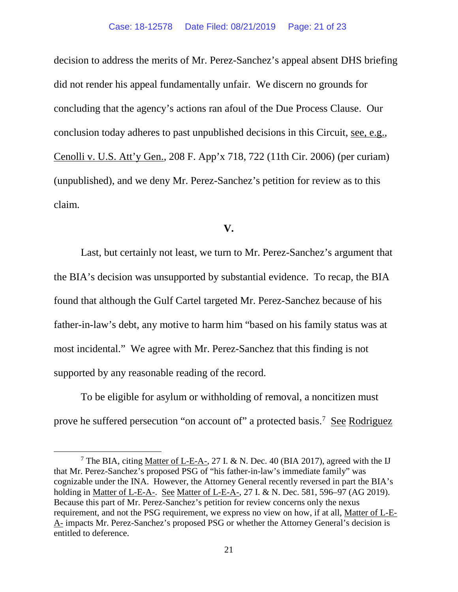decision to address the merits of Mr. Perez-Sanchez's appeal absent DHS briefing did not render his appeal fundamentally unfair. We discern no grounds for concluding that the agency's actions ran afoul of the Due Process Clause. Our conclusion today adheres to past unpublished decisions in this Circuit, see, e.g., Cenolli v. U.S. Att'y Gen., 208 F. App'x 718, 722 (11th Cir. 2006) (per curiam) (unpublished), and we deny Mr. Perez-Sanchez's petition for review as to this claim.

## **V.**

Last, but certainly not least, we turn to Mr. Perez-Sanchez's argument that the BIA's decision was unsupported by substantial evidence. To recap, the BIA found that although the Gulf Cartel targeted Mr. Perez-Sanchez because of his father-in-law's debt, any motive to harm him "based on his family status was at most incidental." We agree with Mr. Perez-Sanchez that this finding is not supported by any reasonable reading of the record.

To be eligible for asylum or withholding of removal, a noncitizen must prove he suffered persecution "on account of" a protected basis.<sup>[7](#page-20-0)</sup> See Rodriguez

<span id="page-20-0"></span><sup>&</sup>lt;sup>7</sup> The BIA, citing Matter of L-E-A-, 27 I. & N. Dec. 40 (BIA 2017), agreed with the IJ that Mr. Perez-Sanchez's proposed PSG of "his father-in-law's immediate family" was cognizable under the INA. However, the Attorney General recently reversed in part the BIA's holding in Matter of L-E-A-. See Matter of L-E-A-, 27 I. & N. Dec. 581, 596–97 (AG 2019). Because this part of Mr. Perez-Sanchez's petition for review concerns only the nexus requirement, and not the PSG requirement, we express no view on how, if at all, Matter of L-E-A- impacts Mr. Perez-Sanchez's proposed PSG or whether the Attorney General's decision is entitled to deference.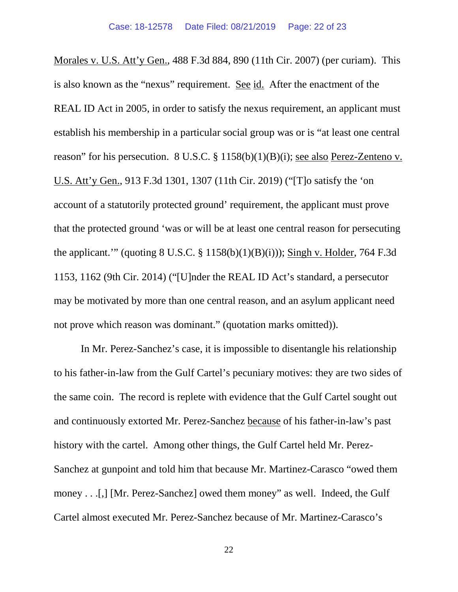Morales v. U.S. Att'y Gen., 488 F.3d 884, 890 (11th Cir. 2007) (per curiam). This is also known as the "nexus" requirement. See id. After the enactment of the REAL ID Act in 2005, in order to satisfy the nexus requirement, an applicant must establish his membership in a particular social group was or is "at least one central reason" for his persecution. 8 U.S.C. § 1158(b)(1)(B)(i); see also Perez-Zenteno v. U.S. Att'y Gen., 913 F.3d 1301, 1307 (11th Cir. 2019) ("[T]o satisfy the 'on account of a statutorily protected ground' requirement, the applicant must prove that the protected ground 'was or will be at least one central reason for persecuting the applicant.'" (quoting  $8 \text{ U.S.C. } §$  1158(b)(1)(B)(i))); Singh v. Holder, 764 F.3d 1153, 1162 (9th Cir. 2014) ("[U]nder the REAL ID Act's standard, a persecutor may be motivated by more than one central reason, and an asylum applicant need not prove which reason was dominant." (quotation marks omitted)).

In Mr. Perez-Sanchez's case, it is impossible to disentangle his relationship to his father-in-law from the Gulf Cartel's pecuniary motives: they are two sides of the same coin. The record is replete with evidence that the Gulf Cartel sought out and continuously extorted Mr. Perez-Sanchez because of his father-in-law's past history with the cartel. Among other things, the Gulf Cartel held Mr. Perez-Sanchez at gunpoint and told him that because Mr. Martinez-Carasco "owed them money . . .[,] [Mr. Perez-Sanchez] owed them money" as well. Indeed, the Gulf Cartel almost executed Mr. Perez-Sanchez because of Mr. Martinez-Carasco's